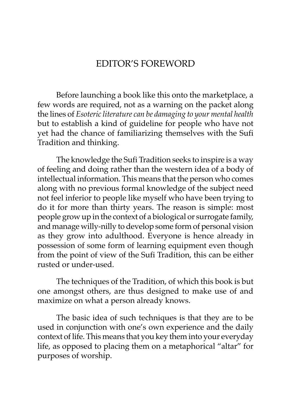## EDITOR'S FOREWORD

Before launching a book like this onto the marketplace, a few words are required, not as a warning on the packet along the lines of *Esoteric literature can be damaging to your mental health* but to establish a kind of guideline for people who have not yet had the chance of familiarizing themselves with the Sufi Tradition and thinking.

The knowledge the Sufi Tradition seeks to inspire is a way of feeling and doing rather than the western idea of a body of intellectual information. This means that the person who comes along with no previous formal knowledge of the subject need not feel inferior to people like myself who have been trying to do it for more than thirty years. The reason is simple: most people grow up in the context of a biological or surrogate family, and manage willy-nilly to develop some form of personal vision as they grow into adulthood. Everyone is hence already in possession of some form of learning equipment even though from the point of view of the Sufi Tradition, this can be either rusted or under-used.

The techniques of the Tradition, of which this book is but one amongst others, are thus designed to make use of and maximize on what a person already knows.

The basic idea of such techniques is that they are to be used in conjunction with one's own experience and the daily context of life. This means that you key them into your everyday life, as opposed to placing them on a metaphorical "altar" for purposes of worship.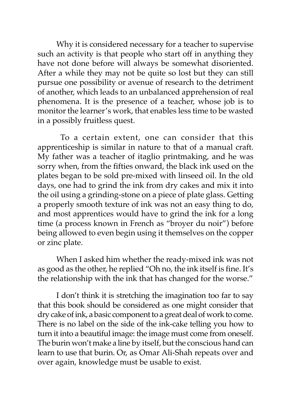Why it is considered necessary for a teacher to supervise such an activity is that people who start off in anything they have not done before will always be somewhat disoriented. After a while they may not be quite so lost but they can still pursue one possibility or avenue of research to the detriment of another, which leads to an unbalanced apprehension of real phenomena. It is the presence of a teacher, whose job is to monitor the learner's work, that enables less time to be wasted in a possibly fruitless quest.

 To a certain extent, one can consider that this apprenticeship is similar in nature to that of a manual craft. My father was a teacher of itaglio printmaking, and he was sorry when, from the fifties onward, the black ink used on the plates began to be sold pre-mixed with linseed oil. In the old days, one had to grind the ink from dry cakes and mix it into the oil using a grinding-stone on a piece of plate glass. Getting a properly smooth texture of ink was not an easy thing to do, and most apprentices would have to grind the ink for a long time (a process known in French as "broyer du noir") before being allowed to even begin using it themselves on the copper or zinc plate.

When I asked him whether the ready-mixed ink was not as good as the other, he replied "Oh no, the ink itself is fine. It's the relationship with the ink that has changed for the worse."

I don't think it is stretching the imagination too far to say that this book should be considered as one might consider that dry cake of ink, a basic component to a great deal of work to come. There is no label on the side of the ink-cake telling you how to turn it into a beautiful image: the image must come from oneself. The burin won't make a line by itself, but the conscious hand can learn to use that burin. Or, as Omar Ali-Shah repeats over and over again, knowledge must be usable to exist.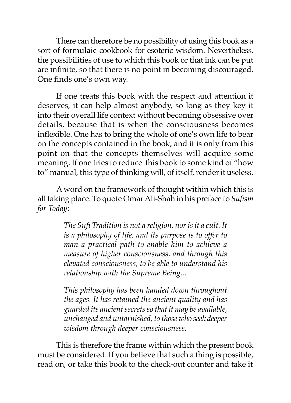There can therefore be no possibility of using this book as a sort of formulaic cookbook for esoteric wisdom. Nevertheless, the possibilities of use to which this book or that ink can be put are infinite, so that there is no point in becoming discouraged. One finds one's own way.

If one treats this book with the respect and attention it deserves, it can help almost anybody, so long as they key it into their overall life context without becoming obsessive over details, because that is when the consciousness becomes inflexible. One has to bring the whole of one's own life to bear on the concepts contained in the book, and it is only from this point on that the concepts themselves will acquire some meaning. If one tries to reduce this book to some kind of "how to" manual, this type of thinking will, of itself, render it useless.

A word on the framework of thought within which this is all taking place. To quote Omar Ali-Shah in his preface to *Sufism for Today*:

> *The Sufi Tradition is not a religion, nor is it a cult. It is a philosophy of life, and its purpose is to offer to man a practical path to enable him to achieve a measure of higher consciousness, and through this elevated consciousness, to be able to understand his relationship with the Supreme Being...*

> *This philosophy has been handed down throughout the ages. It has retained the ancient quality and has guarded its ancient secrets so that it may be available, unchanged and untarnished, to those who seek deeper wisdom through deeper consciousness.*

This is therefore the frame within which the present book must be considered. If you believe that such a thing is possible, read on, or take this book to the check-out counter and take it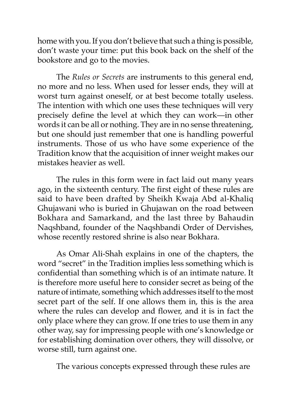home with you. If you don't believe that such a thing is possible, don't waste your time: put this book back on the shelf of the bookstore and go to the movies.

The *Rules or Secrets* are instruments to this general end, no more and no less. When used for lesser ends, they will at worst turn against oneself, or at best become totally useless. The intention with which one uses these techniques will very precisely define the level at which they can work—in other words it can be all or nothing. They are in no sense threatening, but one should just remember that one is handling powerful instruments. Those of us who have some experience of the Tradition know that the acquisition of inner weight makes our mistakes heavier as well.

The rules in this form were in fact laid out many years ago, in the sixteenth century. The first eight of these rules are said to have been drafted by Sheikh Kwaja Abd al-Khaliq Ghujawani who is buried in Ghujawan on the road between Bokhara and Samarkand, and the last three by Bahaudin Naqshband, founder of the Naqshbandi Order of Dervishes, whose recently restored shrine is also near Bokhara.

As Omar Ali-Shah explains in one of the chapters, the word "secret" in the Tradition implies less something which is confidential than something which is of an intimate nature. It is therefore more useful here to consider secret as being of the nature of intimate, something which addresses itself to the most secret part of the self. If one allows them in, this is the area where the rules can develop and flower, and it is in fact the only place where they can grow. If one tries to use them in any other way, say for impressing people with one's knowledge or for establishing domination over others, they will dissolve, or worse still, turn against one.

The various concepts expressed through these rules are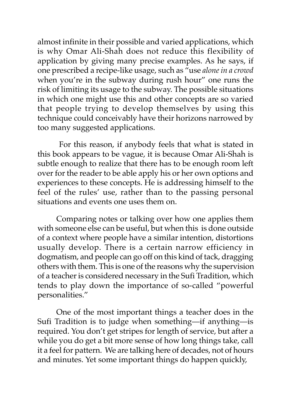almost infinite in their possible and varied applications, which is why Omar Ali-Shah does not reduce this flexibility of application by giving many precise examples. As he says, if one prescribed a recipe-like usage, such as "use *alone in a crowd* when you're in the subway during rush hour" one runs the risk of limiting its usage to the subway. The possible situations in which one might use this and other concepts are so varied that people trying to develop themselves by using this technique could conceivably have their horizons narrowed by too many suggested applications.

 For this reason, if anybody feels that what is stated in this book appears to be vague, it is because Omar Ali-Shah is subtle enough to realize that there has to be enough room left over for the reader to be able apply his or her own options and experiences to these concepts. He is addressing himself to the feel of the rules' use, rather than to the passing personal situations and events one uses them on.

Comparing notes or talking over how one applies them with someone else can be useful, but when this is done outside of a context where people have a similar intention, distortions usually develop. There is a certain narrow efficiency in dogmatism, and people can go off on this kind of tack, dragging others with them. This is one of the reasons why the supervision of a teacher is considered necessary in the Sufi Tradition, which tends to play down the importance of so-called "powerful personalities."

One of the most important things a teacher does in the Sufi Tradition is to judge when something—if anything—is required. You don't get stripes for length of service, but after a while you do get a bit more sense of how long things take, call it a feel for pattern. We are talking here of decades, not of hours and minutes. Yet some important things do happen quickly,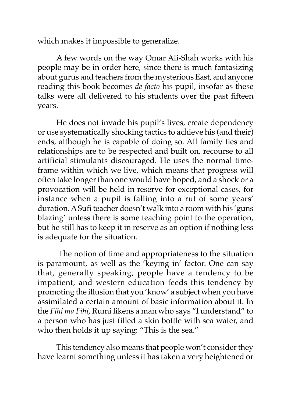which makes it impossible to generalize.

A few words on the way Omar Ali-Shah works with his people may be in order here, since there is much fantasizing about gurus and teachers from the mysterious East, and anyone reading this book becomes *de facto* his pupil, insofar as these talks were all delivered to his students over the past fifteen years.

He does not invade his pupil's lives, create dependency or use systematically shocking tactics to achieve his (and their) ends, although he is capable of doing so. All family ties and relationships are to be respected and built on, recourse to all artificial stimulants discouraged. He uses the normal timeframe within which we live, which means that progress will often take longer than one would have hoped, and a shock or a provocation will be held in reserve for exceptional cases, for instance when a pupil is falling into a rut of some years' duration. A Sufi teacher doesn't walk into a room with his 'guns blazing' unless there is some teaching point to the operation, but he still has to keep it in reserve as an option if nothing less is adequate for the situation.

 The notion of time and appropriateness to the situation is paramount, as well as the 'keying in' factor. One can say that, generally speaking, people have a tendency to be impatient, and western education feeds this tendency by promoting the illusion that you 'know' a subject when you have assimilated a certain amount of basic information about it. In the *Fihi ma Fihi*, Rumi likens a man who says "I understand" to a person who has just filled a skin bottle with sea water, and who then holds it up saying: "This is the sea."

This tendency also means that people won't consider they have learnt something unless it has taken a very heightened or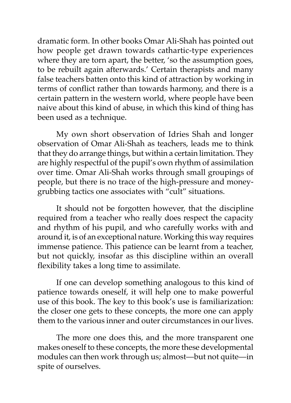dramatic form. In other books Omar Ali-Shah has pointed out how people get drawn towards cathartic-type experiences where they are torn apart, the better, 'so the assumption goes, to be rebuilt again afterwards.' Certain therapists and many false teachers batten onto this kind of attraction by working in terms of conflict rather than towards harmony, and there is a certain pattern in the western world, where people have been naive about this kind of abuse, in which this kind of thing has been used as a technique.

My own short observation of Idries Shah and longer observation of Omar Ali-Shah as teachers, leads me to think that they do arrange things, but within a certain limitation. They are highly respectful of the pupil's own rhythm of assimilation over time. Omar Ali-Shah works through small groupings of people, but there is no trace of the high-pressure and moneygrubbing tactics one associates with "cult" situations.

It should not be forgotten however, that the discipline required from a teacher who really does respect the capacity and rhythm of his pupil, and who carefully works with and around it, is of an exceptional nature. Working this way requires immense patience. This patience can be learnt from a teacher, but not quickly, insofar as this discipline within an overall flexibility takes a long time to assimilate.

If one can develop something analogous to this kind of patience towards oneself, it will help one to make powerful use of this book. The key to this book's use is familiarization: the closer one gets to these concepts, the more one can apply them to the various inner and outer circumstances in our lives.

The more one does this, and the more transparent one makes oneself to these concepts, the more these developmental modules can then work through us; almost—but not quite—in spite of ourselves.